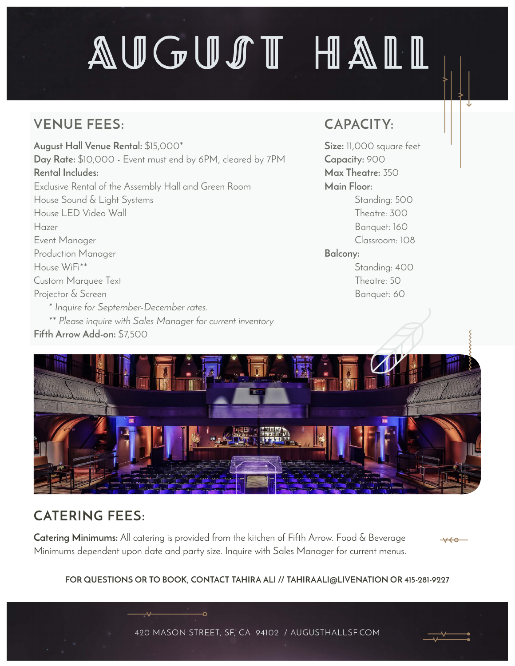## AUGUST HAIL

## **VENUE FEES:**

**August Hall Venue Rental:** \$15,000\* **Day Rate:** \$10,000 - Event must end by 6PM, cleared by 7PM **Rental Includes:** Exclusive Rental of the Assembly Hall and Green Room House Sound & Light Systems House LED Video Wall Hazer Event Manager Production Manager House WiFi\*\* Custom Marquee Text Projector & Screen *\* Inquire for September-December rates. \*\* Please inquire with Sales Manager for current inventory* **Fifth Arrow Add-on:** \$7,500

### **CAPACITY:**

**Size:** 11,000 square feet **Capacity:** 900 **Max Theatre:** 350 **Main Floor:** Standing: 500 Theatre: 300 Banquet: 160 Classroom: 108 **Balcony:** Standing: 400

> Theatre: 50 Banquet: 60



## **CATERING FEES:**

**Catering Minimums:** All catering is provided from the kitchen of Fifth Arrow. Food & Beverage Minimums dependent upon date and party size. Inquire with Sales Manager for current menus.

-റ



#### **FOR QUESTIONS OR TO BOOK, CONTACT TAHIRA ALI // TAHIRAALI@LIVENATION OR 415-281-9227**

420 MASON STREET, SF, CA. 94102 / AUGUSTHALLSF.COM